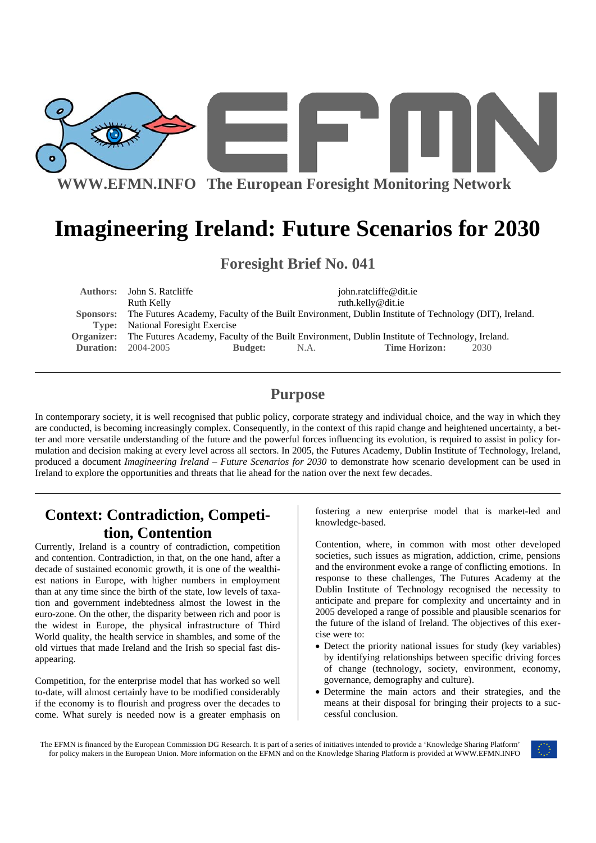

# **Imagineering Ireland: Future Scenarios for 2030**

**Foresight Brief No. 041** 

|                                                                                                                 |                                                                                                      | john.ratcliffe@dit.ie                                                                                                        |
|-----------------------------------------------------------------------------------------------------------------|------------------------------------------------------------------------------------------------------|------------------------------------------------------------------------------------------------------------------------------|
| Ruth Kelly                                                                                                      |                                                                                                      | ruth.kelly@dit.ie                                                                                                            |
| Sponsors: The Futures Academy, Faculty of the Built Environment, Dublin Institute of Technology (DIT), Ireland. |                                                                                                      |                                                                                                                              |
|                                                                                                                 |                                                                                                      |                                                                                                                              |
|                                                                                                                 |                                                                                                      |                                                                                                                              |
|                                                                                                                 | N.A.                                                                                                 | <b>Time Horizon:</b><br>2030                                                                                                 |
|                                                                                                                 | Authors: John S. Ratcliffe<br><b>Type:</b> National Foresight Exercise<br><b>Duration:</b> 2004-2005 | Organizer: The Futures Academy, Faculty of the Built Environment, Dublin Institute of Technology, Ireland.<br><b>Budget:</b> |

### **Purpose**

In contemporary society, it is well recognised that public policy, corporate strategy and individual choice, and the way in which they are conducted, is becoming increasingly complex. Consequently, in the context of this rapid change and heightened uncertainty, a better and more versatile understanding of the future and the powerful forces influencing its evolution, is required to assist in policy formulation and decision making at every level across all sectors. In 2005, the Futures Academy, Dublin Institute of Technology, Ireland, produced a document *Imagineering Ireland – Future Scenarios for 2030* to demonstrate how scenario development can be used in Ireland to explore the opportunities and threats that lie ahead for the nation over the next few decades.

# **Context: Contradiction, Competition, Contention**

Currently, Ireland is a country of contradiction, competition and contention. Contradiction, in that, on the one hand, after a decade of sustained economic growth, it is one of the wealthiest nations in Europe, with higher numbers in employment than at any time since the birth of the state, low levels of taxation and government indebtedness almost the lowest in the euro-zone. On the other, the disparity between rich and poor is the widest in Europe, the physical infrastructure of Third World quality, the health service in shambles, and some of the old virtues that made Ireland and the Irish so special fast disappearing.

Competition, for the enterprise model that has worked so well to-date, will almost certainly have to be modified considerably if the economy is to flourish and progress over the decades to come. What surely is needed now is a greater emphasis on

fostering a new enterprise model that is market-led and knowledge-based.

Contention, where, in common with most other developed societies, such issues as migration, addiction, crime, pensions and the environment evoke a range of conflicting emotions. In response to these challenges, The Futures Academy at the Dublin Institute of Technology recognised the necessity to anticipate and prepare for complexity and uncertainty and in 2005 developed a range of possible and plausible scenarios for the future of the island of Ireland. The objectives of this exercise were to:

- Detect the priority national issues for study (key variables) by identifying relationships between specific driving forces of change (technology, society, environment, economy, governance, demography and culture).
- Determine the main actors and their strategies, and the means at their disposal for bringing their projects to a successful conclusion.

The EFMN is financed by the European Commission DG Research. It is part of a series of initiatives intended to provide a 'Knowledge Sharing Platform' for policy makers in the European Union. More information on the EFMN and on the Knowledge Sharing Platform is provided at WWW.EFMN.INFO

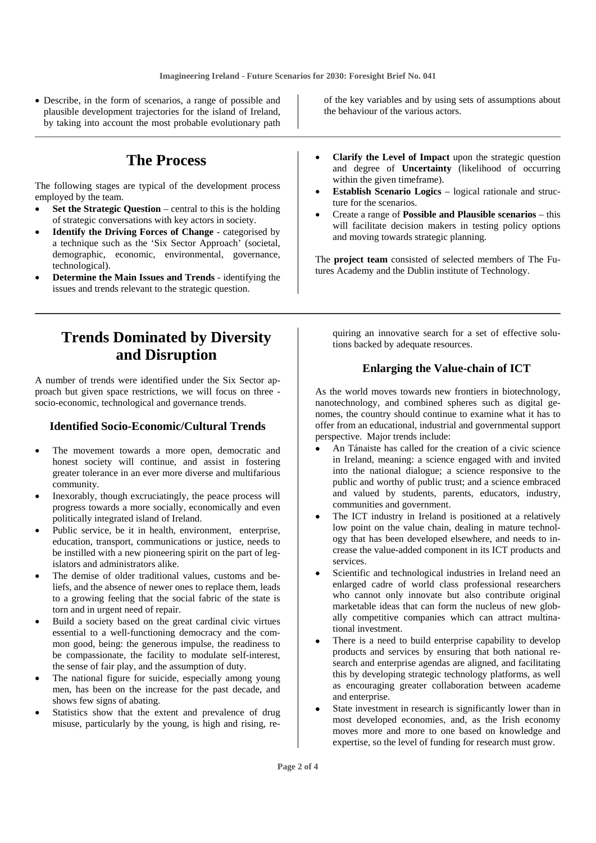• Describe, in the form of scenarios, a range of possible and plausible development trajectories for the island of Ireland, by taking into account the most probable evolutionary path

## **The Process**

The following stages are typical of the development process employed by the team.

- **Set the Strategic Question** central to this is the holding of strategic conversations with key actors in society.
- **Identify the Driving Forces of Change** categorised by a technique such as the 'Six Sector Approach' (societal, demographic, economic, environmental, governance, technological).
- **Determine the Main Issues and Trends** identifying the issues and trends relevant to the strategic question.

# **Trends Dominated by Diversity and Disruption**

A number of trends were identified under the Six Sector approach but given space restrictions, we will focus on three socio-economic, technological and governance trends.

#### **Identified Socio-Economic/Cultural Trends**

- The movement towards a more open, democratic and honest society will continue, and assist in fostering greater tolerance in an ever more diverse and multifarious community.
- Inexorably, though excruciatingly, the peace process will progress towards a more socially, economically and even politically integrated island of Ireland.
- Public service, be it in health, environment, enterprise, education, transport, communications or justice, needs to be instilled with a new pioneering spirit on the part of legislators and administrators alike.
- The demise of older traditional values, customs and beliefs, and the absence of newer ones to replace them, leads to a growing feeling that the social fabric of the state is torn and in urgent need of repair.
- Build a society based on the great cardinal civic virtues essential to a well-functioning democracy and the common good, being: the generous impulse, the readiness to be compassionate, the facility to modulate self-interest, the sense of fair play, and the assumption of duty.
- The national figure for suicide, especially among young men, has been on the increase for the past decade, and shows few signs of abating.
- Statistics show that the extent and prevalence of drug misuse, particularly by the young, is high and rising, re-

of the key variables and by using sets of assumptions about the behaviour of the various actors.

- **Clarify the Level of Impact** upon the strategic question and degree of **Uncertainty** (likelihood of occurring within the given timeframe).
- **Establish Scenario Logics** logical rationale and structure for the scenarios.
- Create a range of **Possible and Plausible scenarios** this will facilitate decision makers in testing policy options and moving towards strategic planning.

The **project team** consisted of selected members of The Futures Academy and the Dublin institute of Technology.

quiring an innovative search for a set of effective solutions backed by adequate resources.

#### **Enlarging the Value-chain of ICT**

As the world moves towards new frontiers in biotechnology, nanotechnology, and combined spheres such as digital genomes, the country should continue to examine what it has to offer from an educational, industrial and governmental support perspective. Major trends include:

- An Tánaiste has called for the creation of a civic science in Ireland, meaning: a science engaged with and invited into the national dialogue; a science responsive to the public and worthy of public trust; and a science embraced and valued by students, parents, educators, industry, communities and government.
- The ICT industry in Ireland is positioned at a relatively low point on the value chain, dealing in mature technology that has been developed elsewhere, and needs to increase the value-added component in its ICT products and services.
- Scientific and technological industries in Ireland need an enlarged cadre of world class professional researchers who cannot only innovate but also contribute original marketable ideas that can form the nucleus of new globally competitive companies which can attract multinational investment.
- There is a need to build enterprise capability to develop products and services by ensuring that both national research and enterprise agendas are aligned, and facilitating this by developing strategic technology platforms, as well as encouraging greater collaboration between academe and enterprise.
- State investment in research is significantly lower than in most developed economies, and, as the Irish economy moves more and more to one based on knowledge and expertise, so the level of funding for research must grow.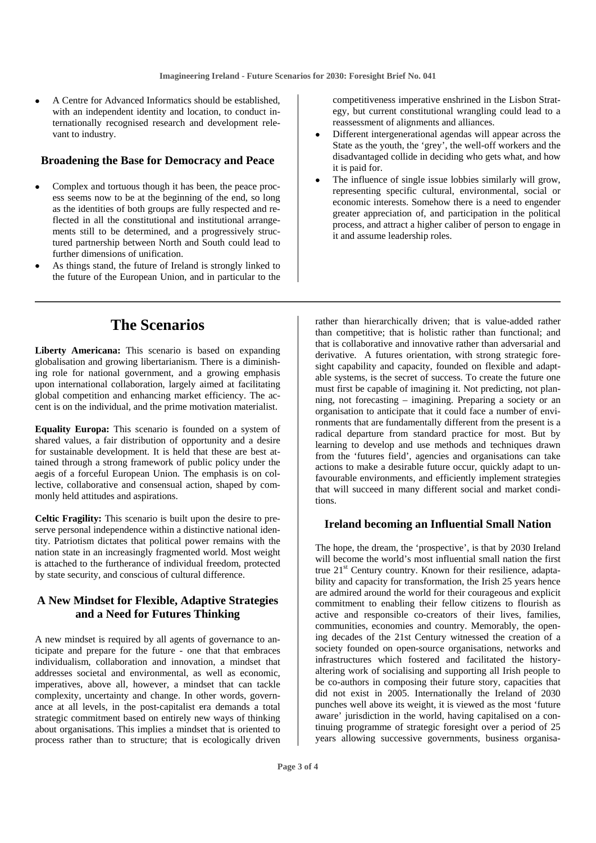• A Centre for Advanced Informatics should be established, with an independent identity and location, to conduct internationally recognised research and development relevant to industry.

#### **Broadening the Base for Democracy and Peace**

- Complex and tortuous though it has been, the peace process seems now to be at the beginning of the end, so long as the identities of both groups are fully respected and reflected in all the constitutional and institutional arrangements still to be determined, and a progressively structured partnership between North and South could lead to further dimensions of unification.
- As things stand, the future of Ireland is strongly linked to the future of the European Union, and in particular to the

competitiveness imperative enshrined in the Lisbon Strategy, but current constitutional wrangling could lead to a reassessment of alignments and alliances.

- Different intergenerational agendas will appear across the State as the youth, the 'grey', the well-off workers and the disadvantaged collide in deciding who gets what, and how it is paid for.
- The influence of single issue lobbies similarly will grow, representing specific cultural, environmental, social or economic interests. Somehow there is a need to engender greater appreciation of, and participation in the political process, and attract a higher caliber of person to engage in it and assume leadership roles.

# **The Scenarios**

**Liberty Americana:** This scenario is based on expanding globalisation and growing libertarianism. There is a diminishing role for national government, and a growing emphasis upon international collaboration, largely aimed at facilitating global competition and enhancing market efficiency. The accent is on the individual, and the prime motivation materialist.

**Equality Europa:** This scenario is founded on a system of shared values, a fair distribution of opportunity and a desire for sustainable development. It is held that these are best attained through a strong framework of public policy under the aegis of a forceful European Union. The emphasis is on collective, collaborative and consensual action, shaped by commonly held attitudes and aspirations.

**Celtic Fragility:** This scenario is built upon the desire to preserve personal independence within a distinctive national identity. Patriotism dictates that political power remains with the nation state in an increasingly fragmented world. Most weight is attached to the furtherance of individual freedom, protected by state security, and conscious of cultural difference.

#### **A New Mindset for Flexible, Adaptive Strategies and a Need for Futures Thinking**

A new mindset is required by all agents of governance to anticipate and prepare for the future - one that that embraces individualism, collaboration and innovation, a mindset that addresses societal and environmental, as well as economic, imperatives, above all, however, a mindset that can tackle complexity, uncertainty and change. In other words, governance at all levels, in the post-capitalist era demands a total strategic commitment based on entirely new ways of thinking about organisations. This implies a mindset that is oriented to process rather than to structure; that is ecologically driven rather than hierarchically driven; that is value-added rather than competitive; that is holistic rather than functional; and that is collaborative and innovative rather than adversarial and derivative. A futures orientation, with strong strategic foresight capability and capacity, founded on flexible and adaptable systems, is the secret of success. To create the future one must first be capable of imagining it. Not predicting, not planning, not forecasting – imagining. Preparing a society or an organisation to anticipate that it could face a number of environments that are fundamentally different from the present is a radical departure from standard practice for most. But by learning to develop and use methods and techniques drawn from the 'futures field', agencies and organisations can take actions to make a desirable future occur, quickly adapt to unfavourable environments, and efficiently implement strategies that will succeed in many different social and market conditions.

#### **Ireland becoming an Influential Small Nation**

The hope, the dream, the 'prospective', is that by 2030 Ireland will become the world's most influential small nation the first true 21st Century country. Known for their resilience, adaptability and capacity for transformation, the Irish 25 years hence are admired around the world for their courageous and explicit commitment to enabling their fellow citizens to flourish as active and responsible co-creators of their lives, families, communities, economies and country. Memorably, the opening decades of the 21st Century witnessed the creation of a society founded on open-source organisations, networks and infrastructures which fostered and facilitated the historyaltering work of socialising and supporting all Irish people to be co-authors in composing their future story, capacities that did not exist in 2005. Internationally the Ireland of 2030 punches well above its weight, it is viewed as the most 'future aware' jurisdiction in the world, having capitalised on a continuing programme of strategic foresight over a period of 25 years allowing successive governments, business organisa